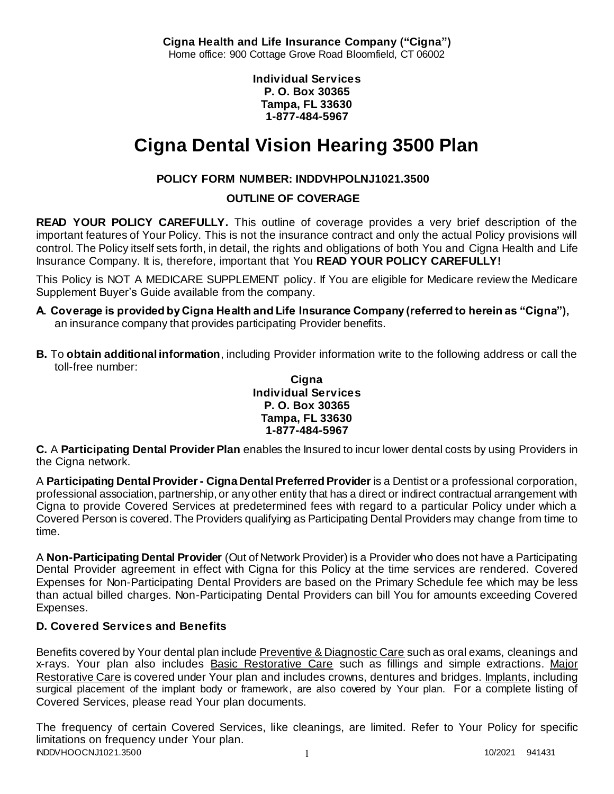**Cigna Health and Life Insurance Company ("Cigna")** Home office: 900 Cottage Grove Road Bloomfield, CT 06002

> **Individual Services P. O. Box 30365 Tampa, FL 33630 1-877-484-5967**

# **Cigna Dental Vision Hearing 3500 Plan**

# **POLICY FORM NUMBER: INDDVHPOLNJ1021.3500**

# **OUTLINE OF COVERAGE**

**READ YOUR POLICY CAREFULLY.** This outline of coverage provides a very brief description of the important features of Your Policy. This is not the insurance contract and only the actual Policy provisions will control. The Policy itself sets forth, in detail, the rights and obligations of both You and Cigna Health and Life Insurance Company. It is, therefore, important that You **READ YOUR POLICY CAREFULLY!** 

This Policy is NOT A MEDICARE SUPPLEMENT policy. If You are eligible for Medicare review the Medicare Supplement Buyer's Guide available from the company.

- **A. Coverage is provided by Cigna Health and Life Insurance Company (referred to herein as "Cigna"),**  an insurance company that provides participating Provider benefits.
- **B.** To **obtain additional information**, including Provider information write to the following address or call the toll-free number:

### **Cigna Individual Services P. O. Box 30365 Tampa, FL 33630 1-877-484-5967**

**C.** A **Participating Dental Provider Plan** enables the Insured to incur lower dental costs by using Providers in the Cigna network.

A **Participating Dental Provider - Cigna Dental Preferred Provider** is a Dentist or a professional corporation, professional association, partnership, or any other entity that has a direct or indirect contractual arrangement with Cigna to provide Covered Services at predetermined fees with regard to a particular Policy under which a Covered Person is covered. The Providers qualifying as Participating Dental Providers may change from time to time.

A **Non-Participating Dental Provider** (Out of Network Provider) is a Provider who does not have a Participating Dental Provider agreement in effect with Cigna for this Policy at the time services are rendered. Covered Expenses for Non-Participating Dental Providers are based on the Primary Schedule fee which may be less than actual billed charges. Non-Participating Dental Providers can bill You for amounts exceeding Covered Expenses.

# **D. Covered Services and Benefits**

Benefits covered by Your dental plan include Preventive & Diagnostic Care such as oral exams, cleanings and x-rays. Your plan also includes Basic Restorative Care such as fillings and simple extractions. Major Restorative Care is covered under Your plan and includes crowns, dentures and bridges. Implants, including surgical placement of the implant body or framework, are also covered by Your plan. For a complete listing of Covered Services, please read Your plan documents.

INDDVHOOCNJ1021.3500 1 1 10/2021 941431 The frequency of certain Covered Services, like cleanings, are limited. Refer to Your Policy for specific limitations on frequency under Your plan.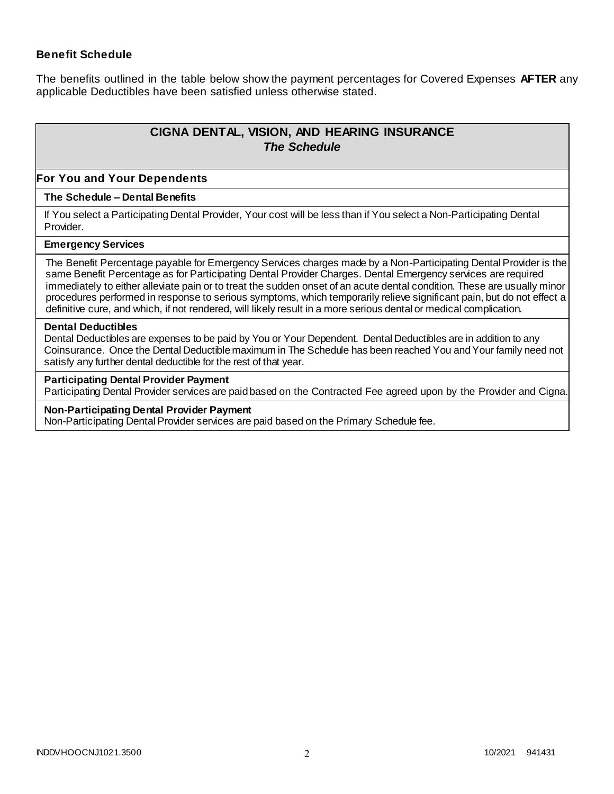### **Benefit Schedule**

The benefits outlined in the table below show the payment percentages for Covered Expenses **AFTER** any applicable Deductibles have been satisfied unless otherwise stated.

# **CIGNA DENTAL, VISION, AND HEARING INSURANCE** *The Schedule*

#### **For You and Your Dependents**

#### **The Schedule – Dental Benefits**

If You select a Participating Dental Provider, Your cost will be less than if You select a Non-Participating Dental Provider.

#### **Emergency Services**

The Benefit Percentage payable for Emergency Services charges made by a Non-Participating Dental Provider is the same Benefit Percentage as for Participating Dental Provider Charges. Dental Emergency services are required immediately to either alleviate pain or to treat the sudden onset of an acute dental condition. These are usually minor procedures performed in response to serious symptoms, which temporarily relieve significant pain, but do not effect a definitive cure, and which, if not rendered, will likely result in a more serious dental or medical complication.

#### **Dental Deductibles**

Dental Deductibles are expenses to be paid by You or Your Dependent. Dental Deductibles are in addition to any Coinsurance. Once the Dental Deductible maximum in The Schedule has been reached You and Your family need not satisfy any further dental deductible for the rest of that year.

#### **Participating Dental Provider Payment**

Participating Dental Provider services are paid based on the Contracted Fee agreed upon by the Provider and Cigna.

#### **Non-Participating Dental Provider Payment**

Non-Participating Dental Provider services are paid based on the Primary Schedule fee.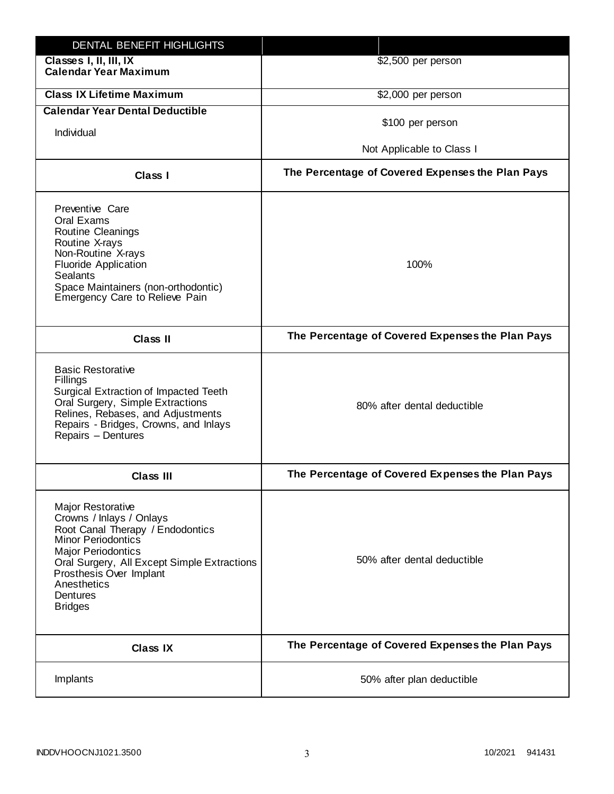| DENTAL BENEFIT HIGHLIGHTS                                                                                                                                                                                                                                                 |                                                  |
|---------------------------------------------------------------------------------------------------------------------------------------------------------------------------------------------------------------------------------------------------------------------------|--------------------------------------------------|
| Classes I, II, III, IX<br><b>Calendar Year Maximum</b>                                                                                                                                                                                                                    | \$2,500 per person                               |
| <b>Class IX Lifetime Maximum</b>                                                                                                                                                                                                                                          | \$2,000 per person                               |
| <b>Calendar Year Dental Deductible</b>                                                                                                                                                                                                                                    |                                                  |
| Individual                                                                                                                                                                                                                                                                | \$100 per person                                 |
|                                                                                                                                                                                                                                                                           | Not Applicable to Class I                        |
| Class I                                                                                                                                                                                                                                                                   | The Percentage of Covered Expenses the Plan Pays |
| Preventive Care<br>Oral Exams<br>Routine Cleanings<br>Routine X-rays<br>Non-Routine X-rays<br><b>Fluoride Application</b><br><b>Sealants</b><br>Space Maintainers (non-orthodontic)<br>Emergency Care to Relieve Pain                                                     | 100%                                             |
| <b>Class II</b>                                                                                                                                                                                                                                                           | The Percentage of Covered Expenses the Plan Pays |
| <b>Basic Restorative</b><br>Fillings<br>Surgical Extraction of Impacted Teeth<br>Oral Surgery, Simple Extractions<br>Relines, Rebases, and Adjustments<br>Repairs - Bridges, Crowns, and Inlays<br>Repairs - Dentures                                                     | 80% after dental deductible                      |
| <b>Class III</b>                                                                                                                                                                                                                                                          | The Percentage of Covered Expenses the Plan Pays |
| <b>Major Restorative</b><br>Crowns / Inlays / Onlays<br>Root Canal Therapy / Endodontics<br><b>Minor Periodontics</b><br><b>Major Periodontics</b><br>Oral Surgery, All Except Simple Extractions<br>Prosthesis Over Implant<br>Anesthetics<br>Dentures<br><b>Bridges</b> | 50% after dental deductible                      |
| <b>Class IX</b>                                                                                                                                                                                                                                                           | The Percentage of Covered Expenses the Plan Pays |
| Implants                                                                                                                                                                                                                                                                  | 50% after plan deductible                        |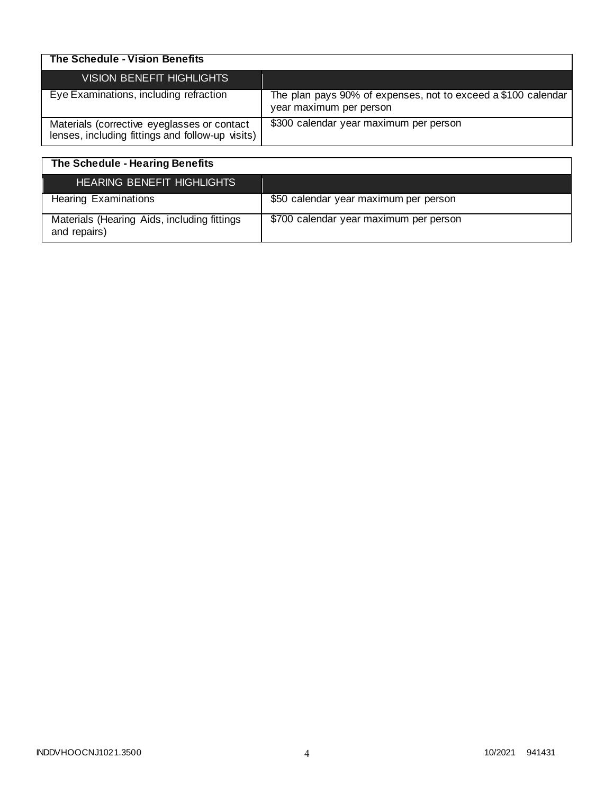| The Schedule - Vision Benefits                                                                  |                                                                                          |
|-------------------------------------------------------------------------------------------------|------------------------------------------------------------------------------------------|
| <b>VISION BENEFIT HIGHLIGHTS</b>                                                                |                                                                                          |
| Eye Examinations, including refraction                                                          | The plan pays 90% of expenses, not to exceed a \$100 calendar<br>year maximum per person |
| Materials (corrective eyeglasses or contact<br>lenses, including fittings and follow-up visits) | \$300 calendar year maximum per person                                                   |

| The Schedule - Hearing Benefits                             |                                        |
|-------------------------------------------------------------|----------------------------------------|
| <b>HEARING BENEFIT HIGHLIGHTS</b>                           |                                        |
| <b>Hearing Examinations</b>                                 | \$50 calendar year maximum per person  |
| Materials (Hearing Aids, including fittings<br>and repairs) | \$700 calendar year maximum per person |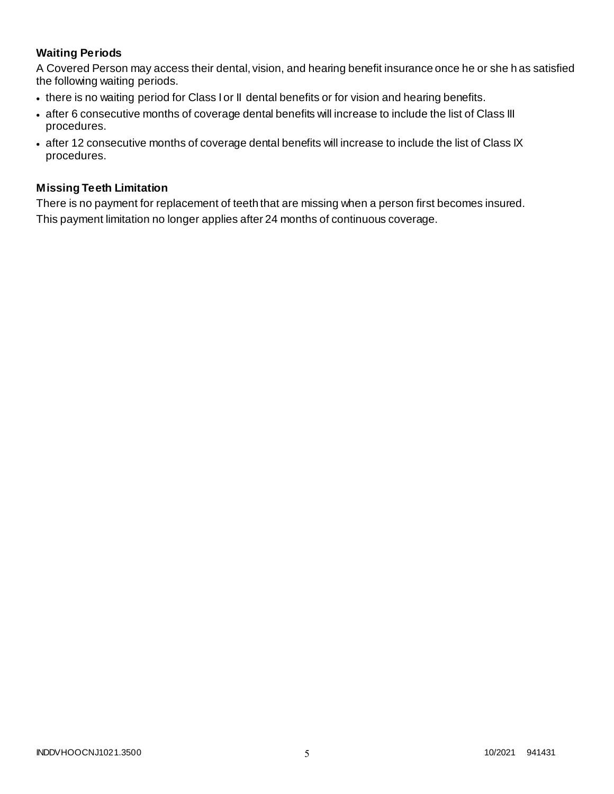# **Waiting Periods**

A Covered Person may access their dental, vision, and hearing benefit insurance once he or she h as satisfied the following waiting periods.

- there is no waiting period for Class I or II dental benefits or for vision and hearing benefits.
- after 6 consecutive months of coverage dental benefits will increase to include the list of Class III procedures.
- after 12 consecutive months of coverage dental benefits will increase to include the list of Class IX procedures.

### **Missing Teeth Limitation**

There is no payment for replacement of teeth that are missing when a person first becomes insured. This payment limitation no longer applies after 24 months of continuous coverage.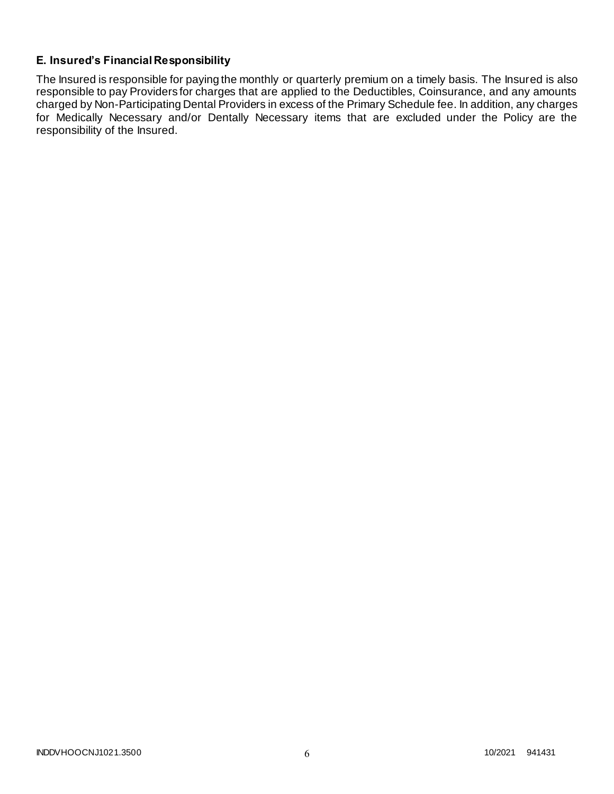# **E. Insured's Financial Responsibility**

The Insured is responsible for paying the monthly or quarterly premium on a timely basis. The Insured is also responsible to pay Providers for charges that are applied to the Deductibles, Coinsurance, and any amounts charged by Non-Participating Dental Providers in excess of the Primary Schedule fee. In addition, any charges for Medically Necessary and/or Dentally Necessary items that are excluded under the Policy are the responsibility of the Insured.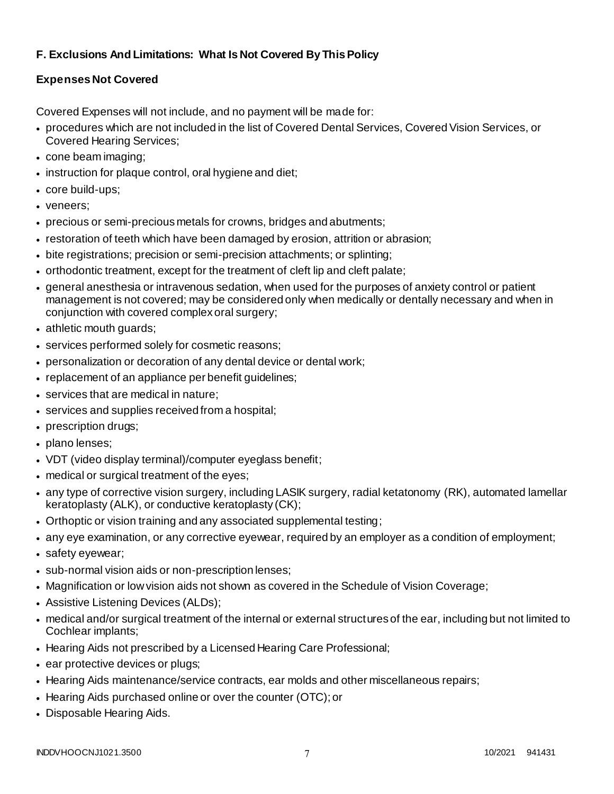# **F. Exclusions And Limitations: What Is Not Covered By This Policy**

# **Expenses Not Covered**

Covered Expenses will not include, and no payment will be made for:

- procedures which are not included in the list of Covered Dental Services, Covered Vision Services, or Covered Hearing Services;
- cone beam imaging;
- instruction for plaque control, oral hygiene and diet;
- core build-ups;
- veneers;
- precious or semi-precious metals for crowns, bridges and abutments;
- restoration of teeth which have been damaged by erosion, attrition or abrasion;
- bite registrations; precision or semi-precision attachments; or splinting;
- orthodontic treatment, except for the treatment of cleft lip and cleft palate;
- general anesthesia or intravenous sedation, when used for the purposes of anxiety control or patient management is not covered; may be considered only when medically or dentally necessary and when in conjunction with covered complex oral surgery;
- athletic mouth guards;
- services performed solely for cosmetic reasons;
- personalization or decoration of any dental device or dental work;
- replacement of an appliance per benefit guidelines;
- services that are medical in nature;
- services and supplies received from a hospital;
- prescription drugs;
- plano lenses;
- VDT (video display terminal)/computer eyeglass benefit;
- medical or surgical treatment of the eyes;
- any type of corrective vision surgery, including LASIK surgery, radial ketatonomy (RK), automated lamellar keratoplasty (ALK), or conductive keratoplasty (CK);
- Orthoptic or vision training and any associated supplemental testing;
- any eye examination, or any corrective eyewear, required by an employer as a condition of employment;
- safety eyewear;
- sub-normal vision aids or non-prescription lenses;
- Magnification or low vision aids not shown as covered in the Schedule of Vision Coverage;
- Assistive Listening Devices (ALDs);
- medical and/or surgical treatment of the internal or external structures of the ear, including but not limited to Cochlear implants;
- Hearing Aids not prescribed by a Licensed Hearing Care Professional;
- ear protective devices or plugs;
- Hearing Aids maintenance/service contracts, ear molds and other miscellaneous repairs;
- Hearing Aids purchased online or over the counter (OTC); or
- Disposable Hearing Aids.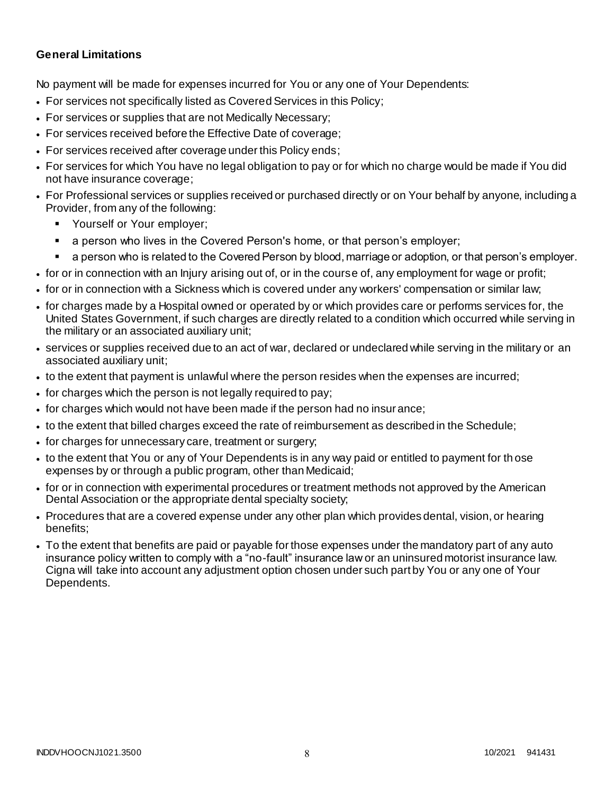### **General Limitations**

No payment will be made for expenses incurred for You or any one of Your Dependents:

- For services not specifically listed as Covered Services in this Policy;
- For services or supplies that are not Medically Necessary;
- For services received before the Effective Date of coverage;
- For services received after coverage under this Policy ends;
- For services for which You have no legal obligation to pay or for which no charge would be made if You did not have insurance coverage;
- For Professional services or supplies received or purchased directly or on Your behalf by anyone, including a Provider, from any of the following:
	- Yourself or Your employer;
	- a person who lives in the Covered Person's home, or that person's employer;
	- a person who is related to the Covered Person by blood, marriage or adoption, or that person's employer.
- for or in connection with an Injury arising out of, or in the course of, any employment for wage or profit;
- for or in connection with a Sickness which is covered under any workers' compensation or similar law;
- for charges made by a Hospital owned or operated by or which provides care or performs services for, the United States Government, if such charges are directly related to a condition which occurred while serving in the military or an associated auxiliary unit;
- services or supplies received due to an act of war, declared or undeclared while serving in the military or an associated auxiliary unit;
- to the extent that payment is unlawful where the person resides when the expenses are incurred;
- for charges which the person is not legally required to pay;
- for charges which would not have been made if the person had no insurance;
- to the extent that billed charges exceed the rate of reimbursement as described in the Schedule;
- for charges for unnecessary care, treatment or surgery;
- to the extent that You or any of Your Dependents is in any way paid or entitled to payment for th ose expenses by or through a public program, other than Medicaid;
- for or in connection with experimental procedures or treatment methods not approved by the American Dental Association or the appropriate dental specialty society;
- Procedures that are a covered expense under any other plan which provides dental, vision, or hearing benefits;
- To the extent that benefits are paid or payable for those expenses under the mandatory part of any auto insurance policy written to comply with a "no-fault" insurance law or an uninsured motorist insurance law. Cigna will take into account any adjustment option chosen under such part by You or any one of Your Dependents.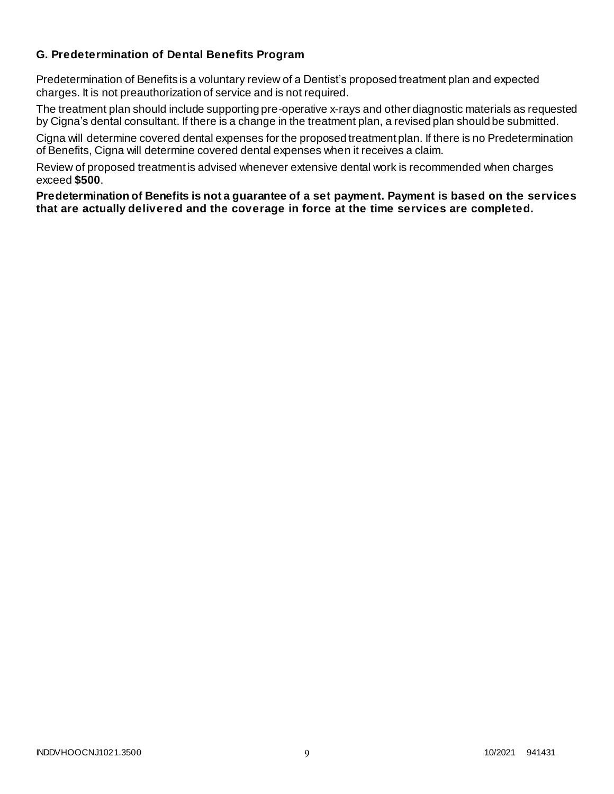### **G. Predetermination of Dental Benefits Program**

Predetermination of Benefits is a voluntary review of a Dentist's proposed treatment plan and expected charges. It is not preauthorization of service and is not required.

The treatment plan should include supporting pre-operative x-rays and other diagnostic materials as requested by Cigna's dental consultant. If there is a change in the treatment plan, a revised plan should be submitted.

Cigna will determine covered dental expenses for the proposed treatment plan. If there is no Predetermination of Benefits, Cigna will determine covered dental expenses when it receives a claim.

Review of proposed treatment is advised whenever extensive dental work is recommended when charges exceed **\$500**.

**Predetermination of Benefits is not a guarantee of a set payment. Payment is based on the services that are actually delivered and the coverage in force at the time services are completed.**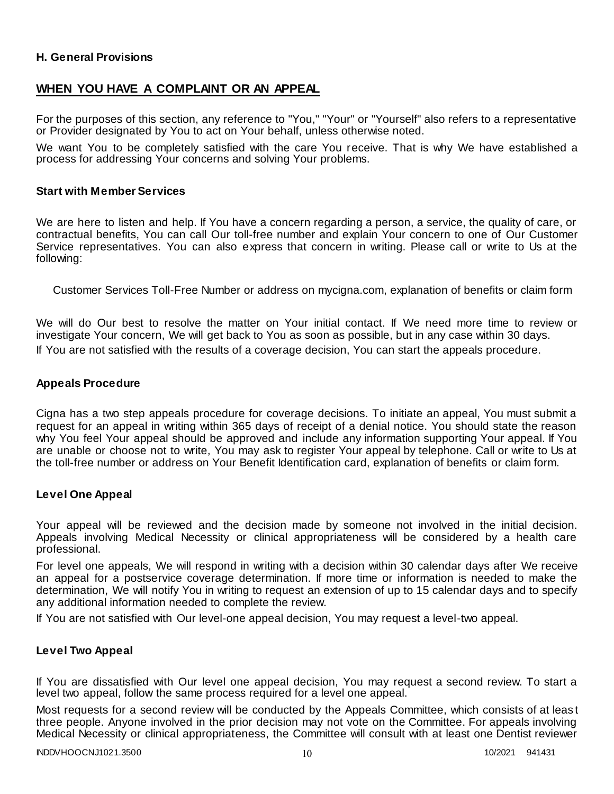### **H. General Provisions**

### **WHEN YOU HAVE A COMPLAINT OR AN APPEAL**

For the purposes of this section, any reference to "You," "Your" or "Yourself" also refers to a representative or Provider designated by You to act on Your behalf, unless otherwise noted.

We want You to be completely satisfied with the care You receive. That is why We have established a process for addressing Your concerns and solving Your problems.

#### **Start with Member Services**

We are here to listen and help. If You have a concern regarding a person, a service, the quality of care, or contractual benefits, You can call Our toll-free number and explain Your concern to one of Our Customer Service representatives. You can also express that concern in writing. Please call or write to Us at the following:

Customer Services Toll-Free Number or address on mycigna.com, explanation of benefits or claim form

We will do Our best to resolve the matter on Your initial contact. If We need more time to review or investigate Your concern, We will get back to You as soon as possible, but in any case within 30 days. If You are not satisfied with the results of a coverage decision, You can start the appeals procedure.

#### **Appeals Procedure**

Cigna has a two step appeals procedure for coverage decisions. To initiate an appeal, You must submit a request for an appeal in writing within 365 days of receipt of a denial notice. You should state the reason why You feel Your appeal should be approved and include any information supporting Your appeal. If You are unable or choose not to write, You may ask to register Your appeal by telephone. Call or write to Us at the toll-free number or address on Your Benefit Identification card, explanation of benefits or claim form.

#### **Level One Appeal**

Your appeal will be reviewed and the decision made by someone not involved in the initial decision. Appeals involving Medical Necessity or clinical appropriateness will be considered by a health care professional.

For level one appeals, We will respond in writing with a decision within 30 calendar days after We receive an appeal for a postservice coverage determination. If more time or information is needed to make the determination, We will notify You in writing to request an extension of up to 15 calendar days and to specify any additional information needed to complete the review.

If You are not satisfied with Our level-one appeal decision, You may request a level-two appeal.

### **Level Two Appeal**

If You are dissatisfied with Our level one appeal decision, You may request a second review. To start a level two appeal, follow the same process required for a level one appeal.

Most requests for a second review will be conducted by the Appeals Committee, which consists of at leas t three people. Anyone involved in the prior decision may not vote on the Committee. For appeals involving Medical Necessity or clinical appropriateness, the Committee will consult with at least one Dentist reviewer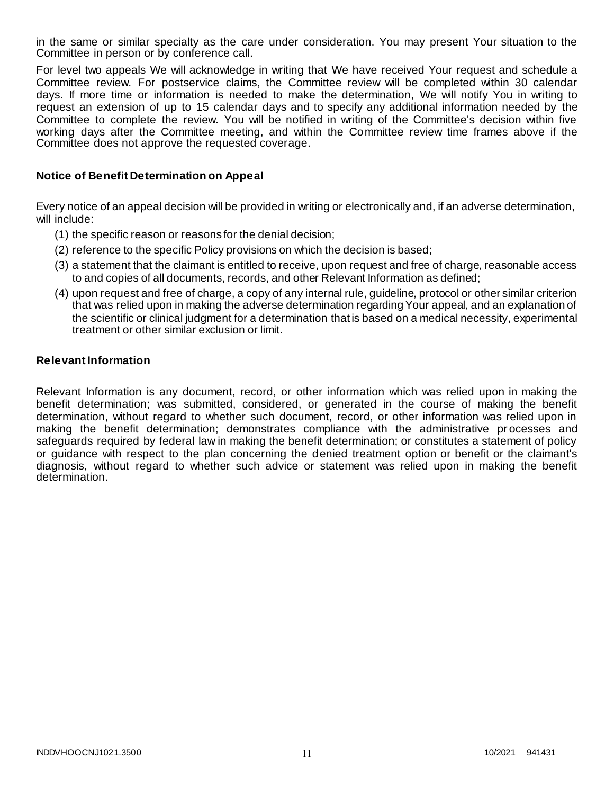in the same or similar specialty as the care under consideration. You may present Your situation to the Committee in person or by conference call.

For level two appeals We will acknowledge in writing that We have received Your request and schedule a Committee review. For postservice claims, the Committee review will be completed within 30 calendar days. If more time or information is needed to make the determination, We will notify You in writing to request an extension of up to 15 calendar days and to specify any additional information needed by the Committee to complete the review. You will be notified in writing of the Committee's decision within five working days after the Committee meeting, and within the Committee review time frames above if the Committee does not approve the requested coverage.

### **Notice of Benefit Determination on Appeal**

Every notice of an appeal decision will be provided in writing or electronically and, if an adverse determination, will include:

- (1) the specific reason or reasons for the denial decision;
- (2) reference to the specific Policy provisions on which the decision is based;
- (3) a statement that the claimant is entitled to receive, upon request and free of charge, reasonable access to and copies of all documents, records, and other Relevant Information as defined;
- (4) upon request and free of charge, a copy of any internal rule, guideline, protocol or other similar criterion that was relied upon in making the adverse determination regarding Your appeal, and an explanation of the scientific or clinical judgment for a determination that is based on a medical necessity, experimental treatment or other similar exclusion or limit.

#### **Relevant Information**

Relevant Information is any document, record, or other information which was relied upon in making the benefit determination; was submitted, considered, or generated in the course of making the benefit determination, without regard to whether such document, record, or other information was relied upon in making the benefit determination; demonstrates compliance with the administrative pr ocesses and safeguards required by federal law in making the benefit determination; or constitutes a statement of policy or guidance with respect to the plan concerning the denied treatment option or benefit or the claimant's diagnosis, without regard to whether such advice or statement was relied upon in making the benefit determination.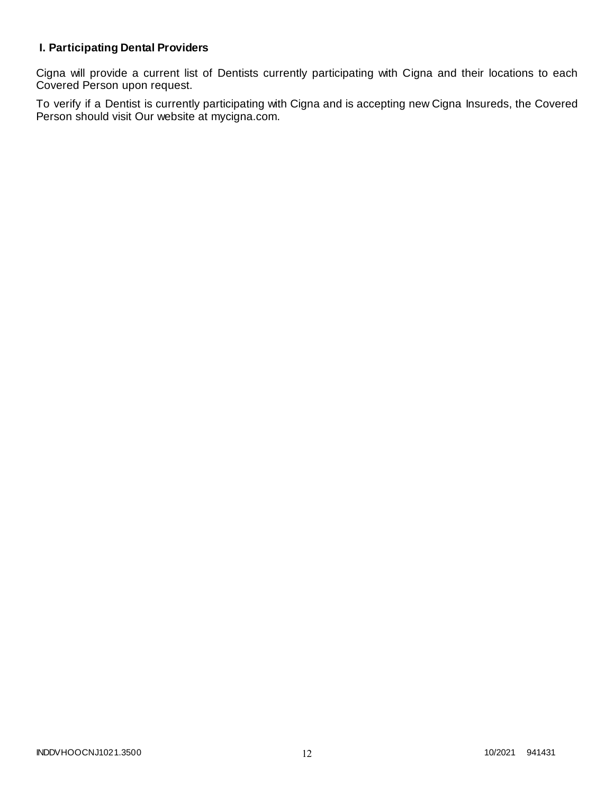# **I. Participating Dental Providers**

Cigna will provide a current list of Dentists currently participating with Cigna and their locations to each Covered Person upon request.

To verify if a Dentist is currently participating with Cigna and is accepting new Cigna Insureds, the Covered Person should visit Our website at mycigna.com.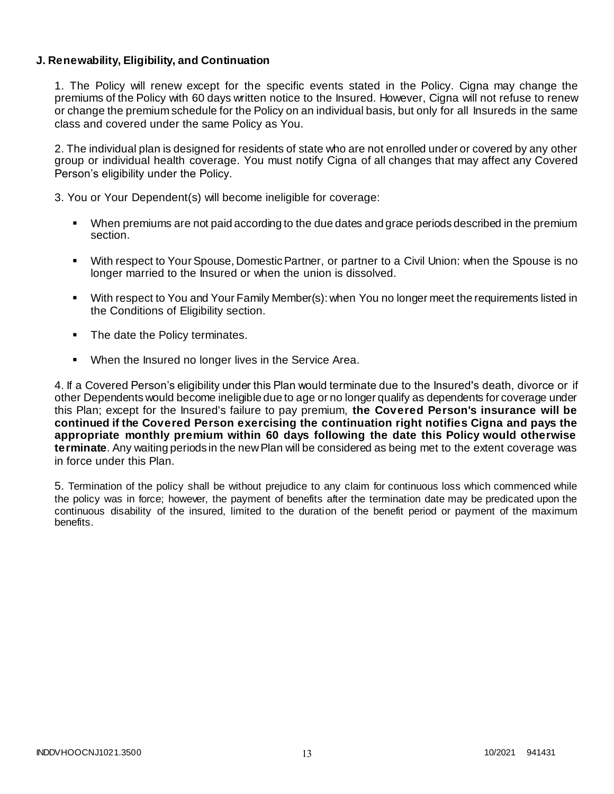### **J. Renewability, Eligibility, and Continuation**

1. The Policy will renew except for the specific events stated in the Policy. Cigna may change the premiums of the Policy with 60 days written notice to the Insured. However, Cigna will not refuse to renew or change the premium schedule for the Policy on an individual basis, but only for all Insureds in the same class and covered under the same Policy as You.

2. The individual plan is designed for residents of state who are not enrolled under or covered by any other group or individual health coverage. You must notify Cigna of all changes that may affect any Covered Person's eligibility under the Policy.

3. You or Your Dependent(s) will become ineligible for coverage:

- When premiums are not paid according to the due dates and grace periods described in the premium section.
- With respect to Your Spouse, Domestic Partner, or partner to a Civil Union: when the Spouse is no longer married to the Insured or when the union is dissolved.
- With respect to You and Your Family Member(s): when You no longer meet the requirements listed in the Conditions of Eligibility section.
- The date the Policy terminates.
- When the Insured no longer lives in the Service Area.

4. If a Covered Person's eligibility under this Plan would terminate due to the Insured's death, divorce or if other Dependents would become ineligible due to age or no longer qualify as dependents for coverage under this Plan; except for the Insured's failure to pay premium, **the Covered Person's insurance will be continued if the Covered Person exercising the continuation right notifies Cigna and pays the appropriate monthly premium within 60 days following the date this Policy would otherwise terminate**. Any waiting periods in the new Plan will be considered as being met to the extent coverage was in force under this Plan.

5. Termination of the policy shall be without prejudice to any claim for continuous loss which commenced while the policy was in force; however, the payment of benefits after the termination date may be predicated upon the continuous disability of the insured, limited to the duration of the benefit period or payment of the maximum benefits.